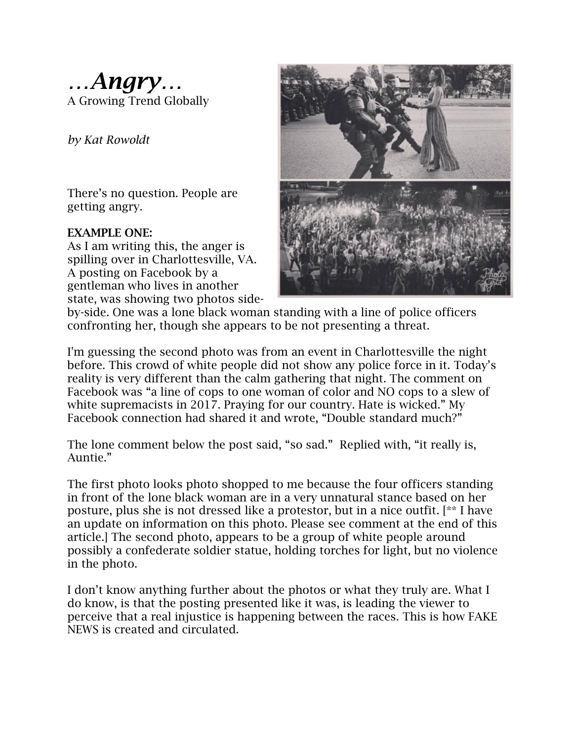*…Angry…* A Growing Trend Globally

*by Kat Rowoldt*

There's no question. People are getting angry.

### **EXAMPLE ONE:**

As I am writing this, the anger is spilling over in Charlottesville, VA. A posting on Facebook by a gentleman who lives in another state, was showing two photos side-



by-side. One was a lone black woman standing with a line of police officers confronting her, though she appears to be not presenting a threat.

I'm guessing the second photo was from an event in Charlottesville the night before. This crowd of white people did not show any police force in it. Today's reality is very different than the calm gathering that night. The comment on Facebook was "a line of cops to one woman of color and NO cops to a slew of white supremacists in 2017. Praying for our country. Hate is wicked." My Facebook connection had shared it and wrote, "Double standard much?"

The lone comment below the post said, "so sad." Replied with, "it really is, Auntie."

The first photo looks photo shopped to me because the four officers standing in front of the lone black woman are in a very unnatural stance based on her posture, plus she is not dressed like a protestor, but in a nice outfit. [\*\* I have an update on information on this photo. Please see comment at the end of this article.] The second photo, appears to be a group of white people around possibly a confederate soldier statue, holding torches for light, but no violence in the photo.

I don't know anything further about the photos or what they truly are. What I do know, is that the posting presented like it was, is leading the viewer to perceive that a real injustice is happening between the races. This is how FAKE NEWS is created and circulated.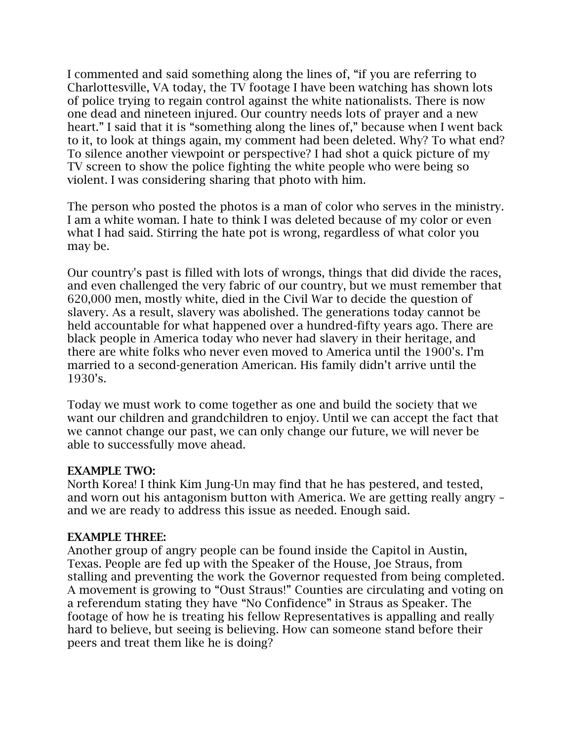I commented and said something along the lines of, "if you are referring to Charlottesville, VA today, the TV footage I have been watching has shown lots of police trying to regain control against the white nationalists. There is now one dead and nineteen injured. Our country needs lots of prayer and a new heart." I said that it is "something along the lines of," because when I went back to it, to look at things again, my comment had been deleted. Why? To what end? To silence another viewpoint or perspective? I had shot a quick picture of my TV screen to show the police fighting the white people who were being so violent. I was considering sharing that photo with him.

The person who posted the photos is a man of color who serves in the ministry. I am a white woman. I hate to think I was deleted because of my color or even what I had said. Stirring the hate pot is wrong, regardless of what color you may be.

Our country's past is filled with lots of wrongs, things that did divide the races, and even challenged the very fabric of our country, but we must remember that 620,000 men, mostly white, died in the Civil War to decide the question of slavery. As a result, slavery was abolished. The generations today cannot be held accountable for what happened over a hundred-fifty years ago. There are black people in America today who never had slavery in their heritage, and there are white folks who never even moved to America until the 1900's. I'm married to a second-generation American. His family didn't arrive until the 1930's.

Today we must work to come together as one and build the society that we want our children and grandchildren to enjoy. Until we can accept the fact that we cannot change our past, we can only change our future, we will never be able to successfully move ahead.

### **EXAMPLE TWO:**

North Korea! I think Kim Jung-Un may find that he has pestered, and tested, and worn out his antagonism button with America. We are getting really angry – and we are ready to address this issue as needed. Enough said.

## **EXAMPLE THREE:**

Another group of angry people can be found inside the Capitol in Austin, Texas. People are fed up with the Speaker of the House, Joe Straus, from stalling and preventing the work the Governor requested from being completed. A movement is growing to "Oust Straus!" Counties are circulating and voting on a referendum stating they have "No Confidence" in Straus as Speaker. The footage of how he is treating his fellow Representatives is appalling and really hard to believe, but seeing is believing. How can someone stand before their peers and treat them like he is doing?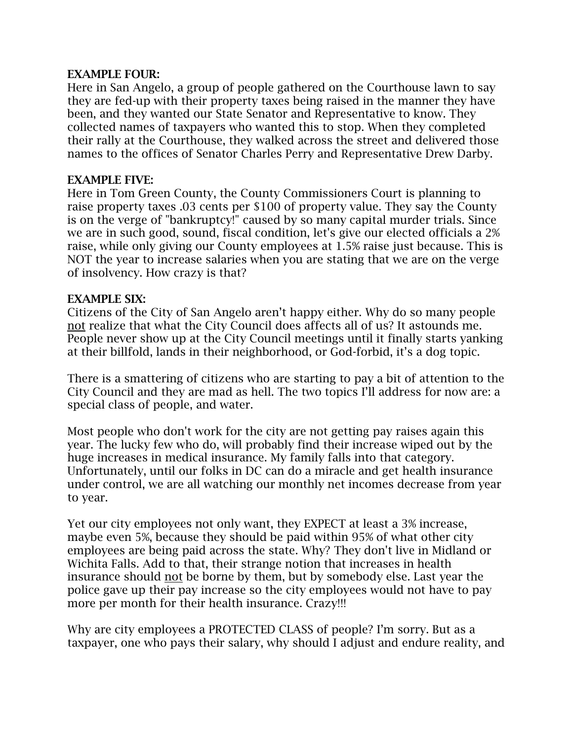### **EXAMPLE FOUR:**

Here in San Angelo, a group of people gathered on the Courthouse lawn to say they are fed-up with their property taxes being raised in the manner they have been, and they wanted our State Senator and Representative to know. They collected names of taxpayers who wanted this to stop. When they completed their rally at the Courthouse, they walked across the street and delivered those names to the offices of Senator Charles Perry and Representative Drew Darby.

#### **EXAMPLE FIVE:**

Here in Tom Green County, the County Commissioners Court is planning to raise property taxes .03 cents per \$100 of property value. They say the County is on the verge of "bankruptcy!" caused by so many capital murder trials. Since we are in such good, sound, fiscal condition, let's give our elected officials a 2% raise, while only giving our County employees at 1.5% raise just because. This is NOT the year to increase salaries when you are stating that we are on the verge of insolvency. How crazy is that?

#### **EXAMPLE SIX:**

Citizens of the City of San Angelo aren't happy either. Why do so many people not realize that what the City Council does affects all of us? It astounds me. People never show up at the City Council meetings until it finally starts yanking at their billfold, lands in their neighborhood, or God-forbid, it's a dog topic.

There is a smattering of citizens who are starting to pay a bit of attention to the City Council and they are mad as hell. The two topics I'll address for now are: a special class of people, and water.

Most people who don't work for the city are not getting pay raises again this year. The lucky few who do, will probably find their increase wiped out by the huge increases in medical insurance. My family falls into that category. Unfortunately, until our folks in DC can do a miracle and get health insurance under control, we are all watching our monthly net incomes decrease from year to year.

Yet our city employees not only want, they EXPECT at least a 3% increase, maybe even 5%, because they should be paid within 95% of what other city employees are being paid across the state. Why? They don't live in Midland or Wichita Falls. Add to that, their strange notion that increases in health insurance should not be borne by them, but by somebody else. Last year the police gave up their pay increase so the city employees would not have to pay more per month for their health insurance. Crazy!!!

Why are city employees a PROTECTED CLASS of people? I'm sorry. But as a taxpayer, one who pays their salary, why should I adjust and endure reality, and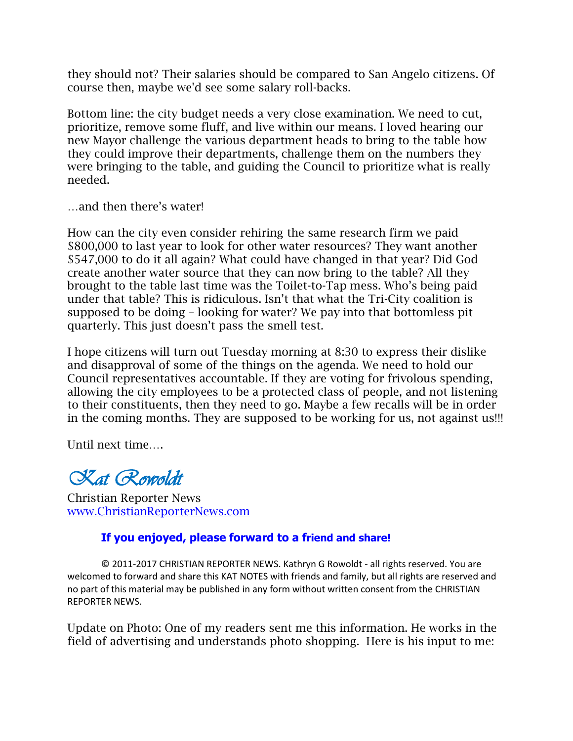they should not? Their salaries should be compared to San Angelo citizens. Of course then, maybe we'd see some salary roll-backs.

Bottom line: the city budget needs a very close examination. We need to cut, prioritize, remove some fluff, and live within our means. I loved hearing our new Mayor challenge the various department heads to bring to the table how they could improve their departments, challenge them on the numbers they were bringing to the table, and guiding the Council to prioritize what is really needed.

…and then there's water!

How can the city even consider rehiring the same research firm we paid \$800,000 to last year to look for other water resources? They want another \$547,000 to do it all again? What could have changed in that year? Did God create another water source that they can now bring to the table? All they brought to the table last time was the Toilet-to-Tap mess. Who's being paid under that table? This is ridiculous. Isn't that what the Tri-City coalition is supposed to be doing – looking for water? We pay into that bottomless pit quarterly. This just doesn't pass the smell test.

I hope citizens will turn out Tuesday morning at 8:30 to express their dislike and disapproval of some of the things on the agenda. We need to hold our Council representatives accountable. If they are voting for frivolous spending, allowing the city employees to be a protected class of people, and not listening to their constituents, then they need to go. Maybe a few recalls will be in order in the coming months. They are supposed to be working for us, not against us!!!

Until next time….

*Kat Rowoldt*

Christian Reporter News www.ChristianReporterNews.com

# **If you enjoyed, please forward to a friend and share!**

**©** 2011-2017 CHRISTIAN REPORTER NEWS. Kathryn G Rowoldt - all rights reserved. You are welcomed to forward and share this KAT NOTES with friends and family, but all rights are reserved and no part of this material may be published in any form without written consent from the CHRISTIAN REPORTER NEWS.

Update on Photo: One of my readers sent me this information. He works in the field of advertising and understands photo shopping. Here is his input to me: